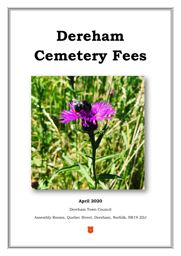# **Dereham Cemetery Fees**



**April 2020**

Dereham Town Council

Assembly Rooms, Quebec Street, Dereham, Norfolk, NR19 2DJ

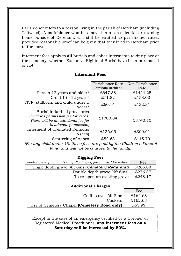Parishioner refers to a person living in the parish of Dereham (including Toftwood). A parishioner who has moved into a residential or nursing home outside of Dereham, will still be entitled to parishioner rates, provided reasonable proof can be given that they lived in Dereham prior to the move.

Interment fees apply to **all** burials and ashes interments taking place at the cemetery, whether Exclusive Rights of Burial have been purchased or not.

|                                        | Parishioner Rate   | Non-Parishioner |
|----------------------------------------|--------------------|-----------------|
|                                        | (Dereham Resident) | Rate            |
| Person 12 years and older <sup>*</sup> | £647.38            | £1424.25        |
| Child 1 to $12 \text{ years}^*$        | £71.82             | £158.00         |
| NVF, stillborn, and child under 1      | £60.14             | £132.31         |
| years*                                 |                    |                 |
| Burial in kerbed grave area            |                    |                 |
| (includes permission fee for kerbs.    | £1700.04           |                 |
| There will be an additional fee for    |                    | £3740.10        |
| headstone permission)                  |                    |                 |
| <b>Interment of Cremated Remains</b>   | £136.65            | £300.61         |
| (Ashes)                                |                    |                 |
| Scattering of Ashes                    | £52.63             | £115.79         |

### **Interment Fees**

*\*For any child under 18, these fees are paid by the Children's Funeral Fund and will not be charged to the family.*

#### **Digging Fees**

| Applicable to full burials only. No digging fee charged for ashes. | Fee     |
|--------------------------------------------------------------------|---------|
| Single depth grave (4ft 6ins) <b>Cemetery Road only</b>            | £265.08 |
| Double depth grave (6ft 6ins)                                      | £276.37 |
| To re-open an existing grave                                       | £248.17 |

### **Additional Charges**

|                                             | Fee     |
|---------------------------------------------|---------|
| Coffins over 6ft 8ins                       | £162.63 |
| Caskets                                     | £162.63 |
| Use of Cemetery Chapel (Cemetery Road only) | £65.99  |

Except in the case of an emergency certified by a Coroner or Registered Medical Practitioner, **any interment fees on a Saturday will be increased by 50%.**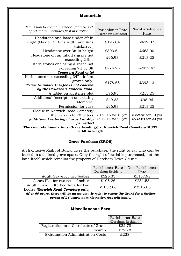| <b>Memorials</b>                         |                                                                         |  |  |
|------------------------------------------|-------------------------------------------------------------------------|--|--|
| Parishioner Rate<br>(Dereham Resident)   | Non-Parishioner<br>Rate                                                 |  |  |
| £195.04                                  | £429.07                                                                 |  |  |
| £303.64                                  | £668.00                                                                 |  |  |
| £96.93                                   | £213.25                                                                 |  |  |
| £776.28                                  | £2039.47                                                                |  |  |
| £178.68                                  | £393.13                                                                 |  |  |
| £96.93                                   | £213.25                                                                 |  |  |
| £49.38                                   | £95.06                                                                  |  |  |
| £96.93                                   | £213.25                                                                 |  |  |
| £163.16 for 10 yrs<br>£242.11 for 20 yrs | £358.95 for 10 yrs<br>£532.64 for 20 yrs                                |  |  |
|                                          | The concrete foundations (Grave Landings) at Norwich Road Cemetery MUST |  |  |

**be 4ft in length.**

## **Grave Purchase (EROB)**

An Exclusive Right of Burial gives the purchaser the right to say who can be buried in a defined grave space. Only the right of burial is purchased, not the land itself, which remains the property of Dereham Town Council.

|                                     | Parishioner Rate   | Non-Parishioner |
|-------------------------------------|--------------------|-----------------|
|                                     | (Dereham Resident) | Rate            |
| Adult Grave for two bodies          | £526.33            | £1157.92        |
| Ashes Plot for two sets of ashes    | £105.26            | £231.58         |
| Adult Grave in Kerbed Area for two  | £1052.66           | £2315.85        |
| bodies (Norwich Road Cemetery only) |                    |                 |

*After 60 years, there will be an automatic right to renew the Grant for a further period of 25 years; administration fees will apply.*

### **Miscellaneous Fees**

|                                        | Parishioner Rate   |
|----------------------------------------|--------------------|
|                                        | (Dereham Resident) |
| Registration and Certificate of Grant  | £22.78             |
| Search                                 | £22.78             |
| <b>Exhumation Administration Costs</b> | F.998              |